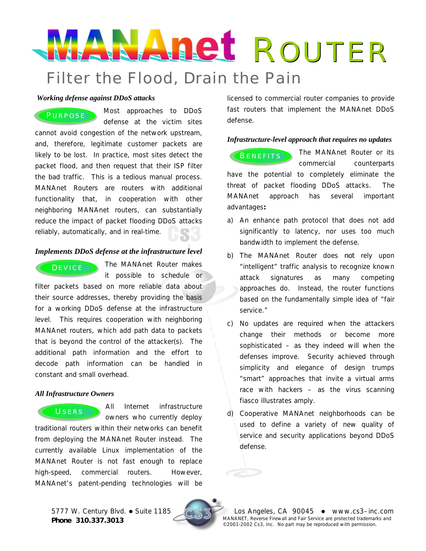# Filter the Flood, Drain the Pain ANAnet ROUTER

#### *Working defense against DDoS attacks*

PURPOSE Most approaches to DDoS defense at the victim sites cannot avoid congestion of the network upstream, and, therefore, legitimate customer packets are likely to be lost. In practice, most sites detect the packet flood, and then request that their ISP filter the bad traffic. This is a tedious manual process. MANAnet Routers are routers with additional functionality that, in cooperation with other neighboring MANAnet routers, can substantially reduce the impact of packet flooding DDoS attacks reliably, automatically, and in real-time.

## *Implements DDoS defense at the infrastructure level*

# DEVICE<sup>1</sup>

The MANAnet Router makes it possible to schedule or

filter packets based on more reliable data about their source addresses, thereby providing the basis for a working DDoS defense at the infrastructure level. This requires cooperation with neighboring MANAnet routers, which add path data to packets that is beyond the control of the attacker(s). The additional path information and the effort to decode path information can be handled in constant and small overhead.

## *All Infrastructure Owners*

All Internet infrastructure owners who currently deploy traditional routers within their networks can benefit from deploying the MANAnet Router instead. The currently available Linux implementation of the MANAnet Router is not fast enough to replace high-speed, commercial routers. However, MANAnet's patent-pending technologies will be USERS

licensed to commercial router companies to provide fast routers that implement the MANAnet DDoS defense.

## *Infrastructure-level approach that requires no updates*

**BENEFITS** The MANAnet Router or its commercial counterparts have the potential to completely eliminate the threat of packet flooding DDoS attacks. The MANAnet approach has several important advantages**:**

- a) An enhance path protocol that does not add significantly to latency, nor uses too much bandwidth to implement the defense.
- b) The MANAnet Router does *not* rely upon "intelligent" traffic analysis to recognize known attack signatures as many competing approaches do. Instead, the router functions based on the fundamentally simple idea of "fair service."
- c) No updates are required when the attackers change their methods or become more sophisticated – as they indeed will when the defenses improve. Security achieved through simplicity and elegance of design trumps "smart" approaches that invite a virtual arms race with hackers – as the virus scanning fiasco illustrates amply.
- d) Cooperative MANAnet neighborhoods can be used to define a variety of new quality of service and security applications beyond DDoS defense.



5777 W. Century Blvd. . Suite 1185 Construction Constrained Constrained Constrained Manuel Constrained Manuel Construction Construction Manuel Construction Manuel Construction Manuel Construction Manuel Construction Manuel MANANET, Reverse Firewall and Fair Service are protected trademarks and MANANET, Reverse Firewall and Fair Service are protected trademaring **Phone 310.337.3013** MANANET, Reverse Firewall and Fair Service are protected trademaring and Fair Service are protected trademaring and the 2001-2002 Cs